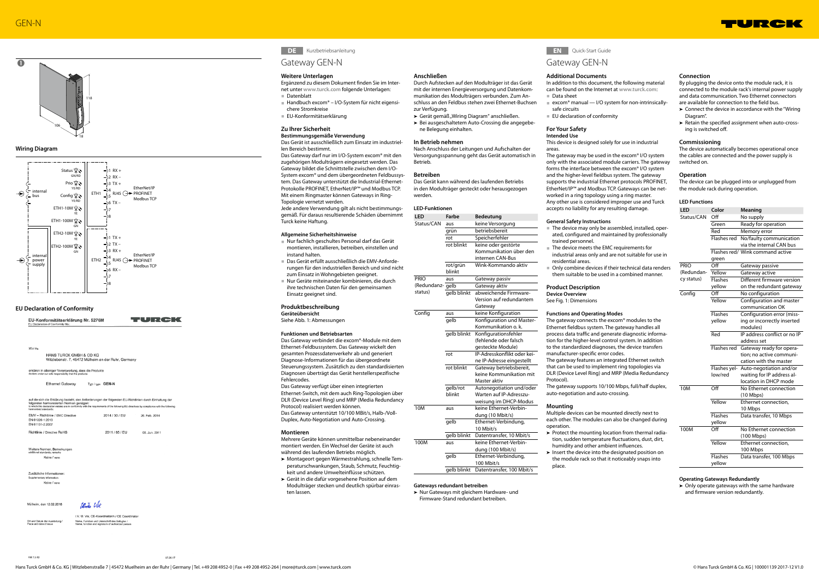

# **Wiring Diagram**



# **EU Declaration of Conformity**

|                                    | EU-Konformitätserklärung Nr. 5276M<br>EU Declaration of Conformity No.:                                            |                         | $\Box$                                                                                                                                                                                                                                               |
|------------------------------------|--------------------------------------------------------------------------------------------------------------------|-------------------------|------------------------------------------------------------------------------------------------------------------------------------------------------------------------------------------------------------------------------------------------------|
|                                    |                                                                                                                    |                         |                                                                                                                                                                                                                                                      |
|                                    |                                                                                                                    |                         |                                                                                                                                                                                                                                                      |
| Wir/We                             |                                                                                                                    |                         |                                                                                                                                                                                                                                                      |
|                                    | HANS TURCK GMBH & CO KG<br>Witzlebenstr. 7, 45472 Mülheim an der Ruhr, Germany                                     |                         |                                                                                                                                                                                                                                                      |
|                                    | erklären in alleiniger Verantwortung, dass die Produkte<br>declare under our sole responsibility that the products |                         |                                                                                                                                                                                                                                                      |
|                                    | <b>Ethernet Gateway</b>                                                                                            | Typ / type <b>GEN-N</b> |                                                                                                                                                                                                                                                      |
| harmonised standards:              | folgenden harmonisierten Normen genügen:                                                                           |                         | auf die sich die Erklärung bezieht, den Anforderungen der folgenden EU-Richtlinien durch Einhaltung der<br>to which this declaration relates are in conformity with the requirements of the following EU-directives by compliance with the following |
| EN 61326-1:2013<br>EN 61131-2:2007 | EMV - Richtlinie / EMC Directive                                                                                   | 2014 / 30 / EU          | 26. Feb. 2014                                                                                                                                                                                                                                        |
|                                    | Richtlinie / Directive RoHS                                                                                        | 2011 / 65 / EU          | 08. Jun. 2011                                                                                                                                                                                                                                        |

Zusätzliche Informatione Keine / none

Mülheim, den 12.02.2018

 $10 - 1$ 

i.V. U. Vix. CE-Koordinatorin / CE Coordinato

Name, Funktion und Unterschrift des Befugten /<br>Name, function and signature of authorized perso

Ort und Datum der Au

EM 7 9.49

**DE** Kurzbetriebsanleitung

07.09.1

## **Weitere Unterlagen**

Ergänzend zu diesem Dokument finden Sie im Internet unter **www.turck.com** folgende Unterlagen:

- **■** Datenblatt
- **■** Handbuch excom® I/O-System für nicht eigensichere Stromkreise
- **■** EU-Konformitätserklärung

### **Zu Ihrer Sicherheit**

# **Bestimmungsgemäße Verwendung**

Das Gerät ist ausschließlich zum Einsatz im industriellen Bereich bestimmt.

Das Gateway darf nur im I/O-System excom® mit den zugehörigen Modulträgern eingesetzt werden. Das Gateway bildet die Schnittstelle zwischen dem I/O-System excom® und dem übergeordneten Feldbussystem. Das Gateway unterstützt die Industrial-Ethernet-Protokolle PROFINET, EtherNet/IP™ und Modbus TCP. Mit einem Ringmaster können Gateways in Ring-Topologie vernetzt werden.

Jede andere Verwendung gilt als nicht bestimmungsgemäß. Für daraus resultierende Schäden übernimmt Turck keine Haftung.

# **Allgemeine Sicherheitshinweise**

► Gerät gemäß "Wiring Diagram" anschließen. ➤ Bei ausgeschaltetem Auto-Crossing die angegebene Belegung einhalten.

- **■** Nur fachlich geschultes Personal darf das Gerät montieren, installieren, betreiben, einstellen und instand halten.
- **■** Das Gerät erfüllt ausschließlich die EMV-Anforderungen für den industriellen Bereich und sind nicht zum Einsatz in Wohngebieten geeignet.
- **■** Nur Geräte miteinander kombinieren, die durch ihre technischen Daten für den gemeinsamen Einsatz geeignet sind.

# **Produktbeschreibung**

**Geräteübersicht** Siehe Abb. 1: Abmessungen

**Funktionen und Betriebsarten**

Das Gateway verbindet die excom®-Module mit dem Ethernet-Feldbussystem. Das Gateway wickelt den gesamten Prozessdatenverkehr ab und generiert Diagnose-Informationen für das übergeordnete Steuerungssystem. Zusätzlich zu den standardisierten Diagnosen überträgt das Gerät herstellerspezifische Fehlercodes.

Das Gateway verfügt über einen integrierten Ethernet-Switch, mit dem auch Ring-Topologien über DLR (Device Level Ring) und MRP (Media Redundancy Protocol) realisiert werden können. Das Gateway unterstützt 10/100 MBit/s, Halb-/Voll-

- excom<sup>®</sup> manual I/O system for non-intrinsicallysafe circuits
- **■** EU declaration of conformity

Duplex, Auto-Negotiation und Auto-Crossing.

# **Montieren**

Mehrere Geräte können unmittelbar nebeneinander montiert werden. Ein Wechsel der Geräte ist auch während des laufenden Betriebs möglich.

- ➤ Montageort gegen Wärmestrahlung, schnelle Temperaturschwankungen, Staub, Schmutz, Feuchtigkeit und andere Umwelteinflüsse schützen.
- ➤ Gerät in die dafür vorgesehene Position auf dem Modulträger stecken und deutlich spürbar einrasten lassen.

# **Anschließen**

Durch Aufstecken auf den Modulträger ist das Gerät mit der internen Energieversorgung und Datenkommunikation des Modulträgers verbunden. Zum Anschluss an den Feldbus stehen zwei Ethernet-Buchsen zur Verfügung.

# **In Betrieb nehmen**

Nach Anschluss der Leitungen und Aufschalten der Versorgungsspannung geht das Gerät automatisch in Betrieb.

#### **Betreiben**

Das Gerät kann während des laufenden Betriebs in den Modulträger gesteckt oder herausgezogen werden.

### **LED-Funktionen**

| LED              | <b>Farbe</b> | <b>Bedeutung</b>            |  |
|------------------|--------------|-----------------------------|--|
| Status/CAN       | aus          | keine Versorgung            |  |
|                  | grün         | betriebsbereit              |  |
|                  | rot          | Speicherfehler              |  |
|                  | rot blinkt   | keine oder gestörte         |  |
|                  |              | Kommunikation über den      |  |
|                  |              | internen CAN-Bus            |  |
|                  | rot/grün     | Wink-Kommando aktiv         |  |
|                  | blinkt       |                             |  |
| <b>PRIO</b>      | aus          | Gateway passiv              |  |
| (Redundanz- gelb |              | Gateway aktiv               |  |
| status)          | gelb blinkt  | abweichende Firmware-       |  |
|                  |              | Version auf redundantem     |  |
|                  |              | Gateway                     |  |
| Config           | aus          | keine Konfiguration         |  |
|                  | gelb         | Konfiguration und Master-   |  |
|                  |              | Kommunikation o. k.         |  |
|                  | gelb blinkt  | Konfigurationsfehler        |  |
|                  |              | (fehlende oder falsch       |  |
|                  |              | gesteckte Module)           |  |
|                  | rot          | IP-Adresskonflikt oder kei- |  |
|                  |              | ne IP-Adresse eingestellt   |  |
|                  | rot blinkt   | Gateway betriebsbereit,     |  |
|                  |              | keine Kommunikation mit     |  |
|                  |              | Master aktiv                |  |
|                  | qelb/rot     | Autonegotiation und/oder    |  |
|                  | blinkt       | Warten auf IP-Adresszu-     |  |
|                  |              | weisung im DHCP-Modus       |  |
| 10M              | aus          | keine Ethernet-Verbin-      |  |
|                  |              | dung (10 Mbit/s)            |  |
|                  | qelb         | Ethernet-Verbindung,        |  |
|                  |              | 10 Mbit/s                   |  |
|                  | gelb blinkt  | Datentransfer, 10 Mbit/s    |  |
| 100M             | aus          | keine Ethernet-Verbin-      |  |
|                  |              | dung (100 Mbit/s)           |  |
|                  | gelb         | Ethernet-Verbindung,        |  |
|                  |              | 100 Mbit/s                  |  |
|                  | gelb blinkt  | Datentransfer, 100 Mbit/s   |  |
|                  |              |                             |  |

**Gateways redundant betreiben**

➤ Nur Gateways mit gleichem Hardware- und Firmware-Stand redundant betreiben.

# **EN** Quick-Start Guide

# Gateway GEN-N

#### **Additional Documents**

In addition to this document, the following material can be found on the Internet at **www.turck.com**: **■** Data sheet

# **For Your Safety Intended Use**

This device is designed solely for use in industrial areas.

The gateway may be used in the excom® I/O system only with the associated module carriers. The gateway forms the interface between the excom® I/O system and the higher-level fieldbus system. The gateway supports the industrial Ethernet protocols PROFINET, EtherNet/IP™ and Modbus TCP. Gateways can be networked in a ring topology using a ring master. Any other use is considered improper use and Turck accepts no liability for any resulting damage.

# **General Safety Instructions**

- **■** The device may only be assembled, installed, operated, configured and maintained by professionally trained personnel.
- The device meets the EMC requirements for industrial areas only and are not suitable for use in residential areas.
- them suitable to be used in a combined manner.

**■** Only combine devices if their technical data renders

 $\triangleright$  Protect the mounting location from thermal radia-

# **Product Description**

**Device Overview** See Fig. 1: Dimensions

### **Functions and Operating Modes**

The gateway connects the excom® modules to the Ethernet fieldbus system. The gateway handles all process data traffic and generate diagnostic information for the higher-level control system. In addition to the standardized diagnoses, the device transfers manufacturer-specific error codes. The gateway features an integrated Ethernet switch that can be used to implement ring topologies via DLR (Device Level Ring) and MRP (Media Redundancy Protocol).

The gateway supports 10/100 Mbps, full/half duplex, auto-negotiation and auto-crossing.

#### **Mounting**

Multiple devices can be mounted directly next to each other. The modules can also be changed during operation.

- tion, sudden temperature fluctuations, dust, dirt, humidity and other ambient influences. ➤ Insert the device into the designated position on
- the module rack so that it noticeably snaps into place.

Gateway GEN-N

#### **Connection**

By plugging the device onto the module rack, it is connected to the module rack's internal power supply and data communication. Two Ethernet connectors are available for connection to the field bus.

- ➤ Connect the device in accordance with the "Wiring Diagram".
- ➤ Retain the specified assignment when auto-crossing is switched off.

### **Commissioning**

The device automatically becomes operational once the cables are connected and the power supply is switched on.

### **Operation**

The device can be plugged into or unplugged from the module rack during operation.

### **LED Functions**

| LED         | Color          | Meaning                                             |  |
|-------------|----------------|-----------------------------------------------------|--|
| Status/CAN  | Off            | No supply                                           |  |
|             | Green          | Ready for operation                                 |  |
|             | Red            | Memory error                                        |  |
|             | Flashes red    | No/faulty communication<br>via the internal CAN bus |  |
|             | green          | Flashes red/ Wink command active                    |  |
| <b>PRIO</b> | Off            | Gateway passive                                     |  |
| (Redundan-  | Yellow         | Gateway active                                      |  |
| cy status)  | <b>Flashes</b> | Different firmware version                          |  |
|             | yellow         | on the redundant gateway                            |  |
| Config      | Off            | No configuration                                    |  |
|             | Yellow         | Configuration and master<br>communication OK        |  |
|             | <b>Flashes</b> | Configuration error (miss-                          |  |
|             | yellow         | ing or incorrectly inserted                         |  |
|             |                | modules)                                            |  |
|             | Red            | IP address conflict or no IP                        |  |
|             |                | address set                                         |  |
|             | Flashes red    | Gateway ready for opera-                            |  |
|             |                | tion: no active communi-                            |  |
|             |                | cation with the master                              |  |
|             | Flashes yel-   | Auto-negotiation and/or                             |  |
|             | low/red        | waiting for IP address al-                          |  |
|             |                | location in DHCP mode                               |  |
| 10M         | Off            | No Ethernet connection                              |  |
|             |                | $(10$ Mbps)                                         |  |
|             | Yellow         | Ethernet connection,                                |  |
|             |                | 10 Mbps                                             |  |
|             | <b>Flashes</b> | Data transfer, 10 Mbps                              |  |
| 100M        | yellow         |                                                     |  |
|             | Off            | No Ethernet connection<br>(100 Mbps)                |  |
|             | Yellow         | Ethernet connection,<br>100 Mbps                    |  |
|             |                |                                                     |  |
|             | <b>Flashes</b> | Data transfer, 100 Mbps                             |  |

# **Operating Gateways Redundantly**

➤ Only operate gateways with the same hardware and firmware version redundantly.